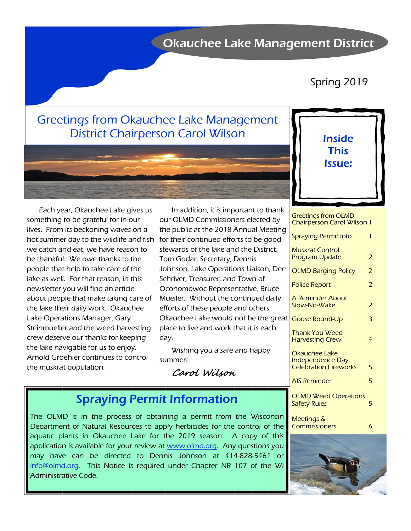## Okauchee Lake Management District

## Spring 2019

# Greetings from Okauchee Lake Management District Chairperson Carol Wilson



Inside This Issue:

Each year, Okauchee Lake gives us something to be grateful for in our lives. From its beckoning waves on a hot summer day to the wildlife and fish we catch and eat, we have reason to be thankful. We owe thanks to the people that help to take care of the lake as well. For that reason, in this newsletter you will find an article about people that make taking care of the lake their daily work. Okauchee Lake Operations Manager, Gary Steinmueller and the weed harvesting crew deserve our thanks for keeping the lake navigable for us to enjoy. Arnold Groehler continues to control the muskrat population.

In addition, it is important to thank our OLMD Commissioners elected by the public at the 2018 Annual Meeting for their continued efforts to be good stewards of the lake and the District: Tom Godar, Secretary, Dennis Johnson, Lake Operations Liaison, Dee Schriver, Treasurer, and Town of Oconomowoc Representative, Bruce Mueller. Without the continued daily efforts of these people and others, Okauchee Lake would not be the great place to live and work that it is each day.

Wishing you a safe and happy summer!

**Carol Wilson**

# Spraying Permit Information

The OLMD is in the process of obtaining a permit from the Wisconsin Department of Natural Resources to apply herbicides for the control of the aquatic plants in Okauchee Lake for the 2019 season. A copy of this application is available for your review at www.olmd.org. Any questions you may have can be directed to Dennis Johnson at 414-828-5461 or info@olmd.org. This Notice is required under Chapter NR 107 of the WI Administrative Code.

Greetings from OLMD Chairperson Carol Wilson 1

|   | <b>Spraying Permit Info</b>                                              | 1 |
|---|--------------------------------------------------------------------------|---|
|   | <b>Muskrat Control</b><br><b>Program Update</b>                          | 2 |
|   | <b>OLMD Barging Policy</b>                                               | 2 |
|   | <b>Police Report</b>                                                     | 2 |
|   | A Reminder About<br>Slow-No-Wake                                         | 2 |
| t | <b>Goose Round-Up</b>                                                    | 3 |
|   | Thank You Weed<br><b>Harvesting Crew</b>                                 | 4 |
|   | Okauchee Lake<br><b>Independence Day</b><br><b>Celebration Fireworks</b> | 5 |
|   | <b>AIS Reminder</b>                                                      | 5 |
|   | <b>OLMD Weed Operations</b><br><b>Safety Rules</b>                       | 5 |
|   | Meetings &                                                               |   |



Commissioners 6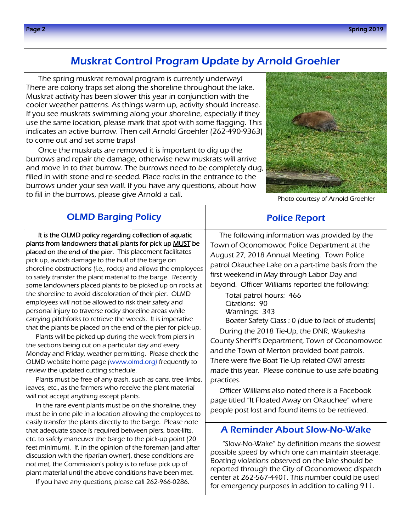## Muskrat Control Program Update by Arnold Groehler

The spring muskrat removal program is currently underway! There are colony traps set along the shoreline throughout the lake. Muskrat activity has been slower this year in conjunction with the cooler weather patterns. As things warm up, activity should increase. If you see muskrats swimming along your shoreline, especially if they use the same location, please mark that spot with some flagging. This indicates an active burrow. Then call Arnold Groehler (262-490-9363) to come out and set some traps!

Once the muskrats are removed it is important to dig up the burrows and repair the damage, otherwise new muskrats will arrive and move in to that burrow. The burrows need to be completely dug, filled in with stone and re-seeded. Place rocks in the entrance to the burrows under your sea wall. If you have any questions, about how to fill in the burrows, please give Arnold a call.



Photo courtesy of Arnold Groehler

### OLMD Barging Policy

It is the OLMD policy regarding collection of aquatic plants from landowners that all plants for pick up MUST be placed on the end of the pier. This placement facilitates pick up, avoids damage to the hull of the barge on shoreline obstructions (i.e., rocks) and allows the employees to safely transfer the plant material to the barge. Recently some landowners placed plants to be picked up on rocks at the shoreline to avoid discoloration of their pier. OLMD employees will not be allowed to risk their safety and personal injury to traverse rocky shoreline areas while carrying pitchforks to retrieve the weeds. It is imperative that the plants be placed on the end of the pier for pick-up.

Plants will be picked up during the week from piers in the sections being cut on a particular day and every Monday and Friday, weather permitting. Please check the OLMD website home page (www.olmd.org) frequently to review the updated cutting schedule.

Plants must be free of any trash, such as cans, tree limbs, leaves, etc., as the farmers who receive the plant material will not accept anything except plants.

In the rare event plants must be on the shoreline, they must be in one pile in a location allowing the employees to easily transfer the plants directly to the barge. Please note that adequate space is required between piers, boat-lifts, etc. to safely maneuver the barge to the pick-up point (20 feet minimum). If, in the opinion of the foreman (and after discussion with the riparian owner), these conditions are not met, the Commission's policy is to refuse pick up of plant material until the above conditions have been met.

If you have any questions, please call 262-966-0286.

The following information was provided by the Town of Oconomowoc Police Department at the August 27, 2018 Annual Meeting. Town Police patrol Okauchee Lake on a part-time basis from the first weekend in May through Labor Day and beyond. Officer Williams reported the following:

Police Report

 Total patrol hours: 466 Citations: 90 Warnings: 343

 Boater Safety Class : 0 (due to lack of students) During the 2018 Tie-Up, the DNR, Waukesha County Sheriff's Department, Town of Oconomowoc and the Town of Merton provided boat patrols. There were five Boat Tie-Up related OWI arrests made this year. Please continue to use safe boating practices.

Officer Williams also noted there is a Facebook page titled "It Floated Away on Okauchee" where people post lost and found items to be retrieved.

### A Reminder About Slow-No-Wake

"Slow-No-Wake" by definition means the slowest possible speed by which one can maintain steerage. Boating violations observed on the lake should be reported through the City of Oconomowoc dispatch center at 262-567-4401. This number could be used for emergency purposes in addition to calling 911.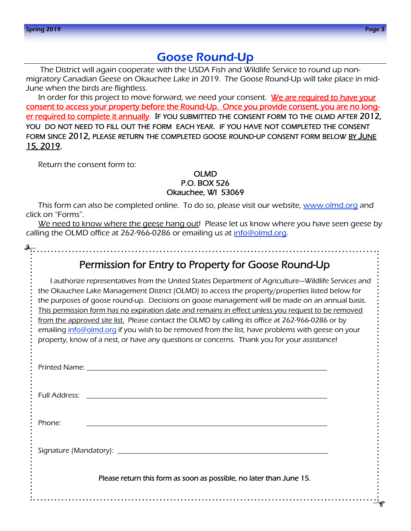## Goose Round-Up

 The District will again cooperate with the USDA Fish and Wildlife Service to round up nonmigratory Canadian Geese on Okauchee Lake in 2019. The Goose Round-Up will take place in mid-June when the birds are flightless.

In order for this project to move forward, we need your consent. We are required to have your consent to access your property before the Round-Up. Once you provide consent, you are no long-<u>er required to complete it annually</u>. IF YOU SUBMITTED THE CONSENT FORM TO THE OLMD AFTER  $2012,$ YOU DO NOT NEED TO FILL OUT THE FORM EACH YEAR. IF YOU HAVE NOT COMPLETED THE CONSENT FORM SINCE 2012, PLEASE RETURN THE COMPLETED GOOSE ROUND-UP CONSENT FORM BELOW BY JUNE 15, 2019.

Return the consent form to:

#### OLMD P.O. BOX 526 Okauchee, WI 53069

This form can also be completed online. To do so, please visit our website, www.olmd.org and click on "Forms".

We need to know where the geese hang out! Please let us know where you have seen geese by calling the OLMD office at 262-966-0286 or emailing us at info@olmd.org.

## Permission for Entry to Property for Goose Round-Up

I authorize representatives from the United States Department of Agriculture—Wildlife Services and the Okauchee Lake Management District (OLMD) to access the property/properties listed below for the purposes of goose round-up. Decisions on goose management will be made on an annual basis. This permission form has no expiration date and remains in effect unless you request to be removed from the approved site list. Please contact the OLMD by calling its office at 262-966-0286 or by emailing info@olmd.org if you wish to be removed from the list, have problems with geese on your property, know of a nest, or have any questions or concerns. Thank you for your assistance!

| Phone:                                                              |  |  |  |  |  |  |
|---------------------------------------------------------------------|--|--|--|--|--|--|
|                                                                     |  |  |  |  |  |  |
| Please return this form as soon as possible, no later than June 15. |  |  |  |  |  |  |
|                                                                     |  |  |  |  |  |  |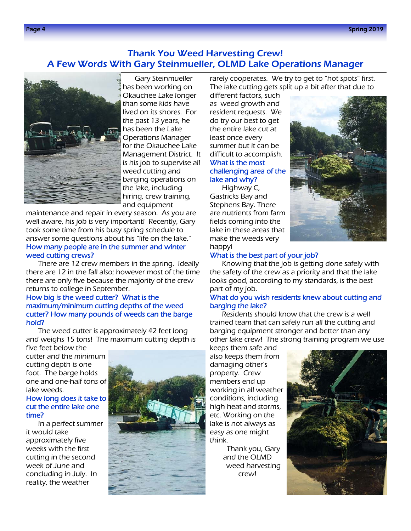### Thank You Weed Harvesting Crew! A Few Words With Gary Steinmueller, OLMD Lake Operations Manager



Gary Steinmueller has been working on Okauchee Lake longer than some kids have lived on its shores. For the past 13 years, he has been the Lake Operations Manager for the Okauchee Lake Management District. It is his job to supervise all weed cutting and barging operations on the lake, including hiring, crew training, and equipment

maintenance and repair in every season. As you are well aware, his job is very important! Recently, Gary took some time from his busy spring schedule to answer some questions about his "life on the lake." How many people are in the summer and winter weed cutting crews?

There are 12 crew members in the spring. Ideally there are 12 in the fall also; however most of the time there are only five because the majority of the crew returns to college in September.

#### How big is the weed cutter? What is the maximum/minimum cutting depths of the weed cutter? How many pounds of weeds can the barge hold?

The weed cutter is approximately 42 feet long and weighs 15 tons! The maximum cutting depth is

five feet below the cutter and the minimum cutting depth is one foot. The barge holds one and one-half tons of lake weeds.

#### How long does it take to cut the entire lake one time?

In a perfect summer it would take approximately five weeks with the first cutting in the second week of June and concluding in July. In reality, the weather



rarely cooperates. We try to get to "hot spots" first. The lake cutting gets split up a bit after that due to

different factors, such as weed growth and resident requests. We do try our best to get the entire lake cut at least once every summer but it can be difficult to accomplish. What is the most challenging area of the lake and why?

Highway C, Gastricks Bay and Stephens Bay. There are nutrients from farm fields coming into the lake in these areas that make the weeds very happy!



#### What is the best part of your job?

Knowing that the job is getting done safely with the safety of the crew as a priority and that the lake looks good, according to my standards, is the best part of my job.

#### What do you wish residents knew about cutting and barging the lake?

Residents should know that the crew is a well trained team that can safely run all the cutting and barging equipment stronger and better than any other lake crew! The strong training program we use

keeps them safe and also keeps them from damaging other's property. Crew members end up working in all weather conditions, including high heat and storms, etc. Working on the lake is not always as easy as one might think.

> Thank you, Gary and the OLMD weed harvesting crew!

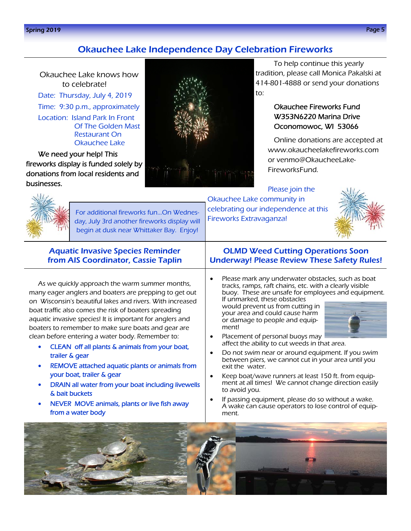#### Spring 2019 Page 5

### Okauchee Lake Independence Day Celebration Fireworks

Okauchee Lake knows how to celebrate! Date: Thursday, July 4, 2019 Time: 9:30 p.m., approximately Location: Island Park In Front Of The Golden Mast

Restaurant On Okauchee Lake

We need your help! This fireworks display is funded solely by donations from local residents and businesses.



To help continue this yearly tradition, please call Monica Pakalski at 414-801-4888 or send your donations to:

### Okauchee Fireworks Fund W353N6220 Marina Drive Oconomowoc, WI 53066

Online donations are accepted at www.okaucheelakefireworks.com or venmo@OkaucheeLake-FireworksFund.

Please join the Okauchee Lake community in celebrating our independence at this Fireworks Extravaganza!





For additional fireworks fun...On Wednesday, July 3rd another fireworks display will begin at dusk near Whittaker Bay. Enjoy!

### Aquatic Invasive Species Reminder from AIS Coordinator, Cassie Taplin

As we quickly approach the warm summer months, many eager anglers and boaters are prepping to get out on Wisconsin's beautiful lakes and rivers. With increased boat traffic also comes the risk of boaters spreading aquatic invasive species! It is important for anglers and boaters to remember to make sure boats and gear are clean before entering a water body. Remember to:

- CLEAN off all plants & animals from your boat, trailer & gear
- REMOVE attached aquatic plants or animals from your boat, trailer & gear
- DRAIN all water from your boat including livewells & bait buckets
- NEVER MOVE animals, plants or live fish away from a water body

OLMD Weed Cutting Operations Soon Underway! Please Review These Safety Rules!

• Please mark any underwater obstacles, such as boat tracks, ramps, raft chains, etc. with a clearly visible buoy. These are unsafe for employees and equipment. If unmarked, these obstacles

would prevent us from cutting in your area and could cause harm or damage to people and equipment!



- Placement of personal buoys may affect the ability to cut weeds in that area.
- Do not swim near or around equipment. If you swim between piers, we cannot cut in your area until you exit the water.
- Keep boat/wave runners at least 150 ft. from equipment at all times! We cannot change direction easily to avoid you.
- If passing equipment, please do so without a wake. A wake can cause operators to lose control of equipment.